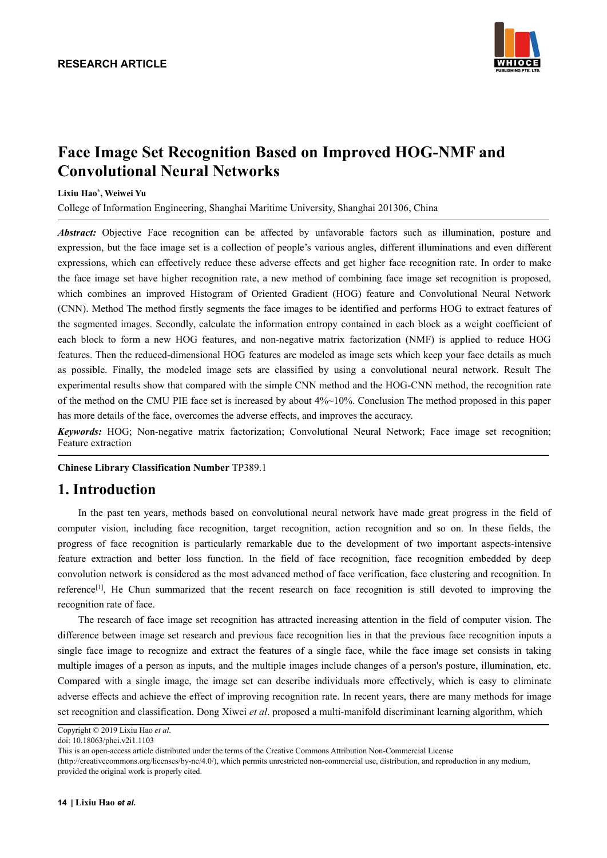

# **Face Image Set Recognition Based on Improved HOG-NMF and Convolutional Neural Networks**

#### **Lixiu Hao \* , Weiwei Yu**

College of Information Engineering, Shanghai Maritime University, Shanghai 201306, China

*Abstract:* Objective Face recognition can be affected by unfavorable factors such as illumination, posture and expression, but the face image set is a collection of people's various angles, different illuminations and even different expressions, which can effectively reduce these adverse effects and get higher face recognition rate. In order to make the face image set have higher recognition rate, a new method of combining face image set recognition is proposed, which combines an improved Histogram of Oriented Gradient (HOG) feature and Convolutional Neural Network (CNN). Method The method firstly segments the face images to be identified and performs HOG to extract features of the segmented images. Secondly, calculate the information entropy contained in each block as a weight coefficient of each block to form a new HOG features, and non-negative matrix factorization (NMF) is applied to reduce HOG features. Then the reduced-dimensional HOG features are modeled as image sets which keep your face details as much as possible. Finally, the modeled image sets are classified by using a convolutional neural network. Result The experimental results show that compared with the simple CNN method and the HOG-CNN method, the recognition rate of the method on the CMU PIE face set is increased by about 4%~10%. Conclusion The method proposed in this paper has more details of the face, overcomes the adverse effects, and improves the accuracy.

*Keywords:* HOG; Non-negative matrix factorization; Convolutional Neural Network; Face image set recognition; Feature extraction

**Chinese Library Classification Number** TP389.1

## **1. Introduction**

In the past ten years, methods based on convolutional neural network have made great progress in the field of computer vision, including face recognition, target recognition, action recognition and so on. In these fields, the progress of face recognition is particularly remarkable due to the development of two important aspects-intensive feature extraction and better loss function. In the field of face recognition, face recognition embedded by deep convolution network is considered as the most advanced method of face verification, face clustering and recognition. In reference [1], He Chun summarized that the recent research on face recognition is still devoted to improving the recognition rate of face.

The research of face image set recognition has attracted increasing attention in the field of computer vision. The difference between image setresearch and previous face recognition lies in that the previous face recognition inputs a single face image to recognize and extract the features of a single face, while the face image set consists in taking multiple images of a person as inputs, and the multiple images include changes of a person's posture, illumination, etc. Compared with a single image, the image set can describe individuals more effectively, which is easy to eliminate adverse effects and achieve the effect of improving recognition rate. In recent years, there are many methods for image set recognition and classification. Dong Xiwei *et al*. proposed a multi-manifold discriminant learning algorithm, which

Copyright © 2019 Lixiu Hao *et al*. doi: 10.18063/phci.v2i1.1103

This is an open-access article distributed under the terms of the Creative Commons Attribution Non-Commercial License

<sup>(</sup>http://creativecommons.org/licenses/by-nc/4.0/), which permits unrestricted non-commercial use, distribution, and reproduction in any medium, provided the original work is properly cited.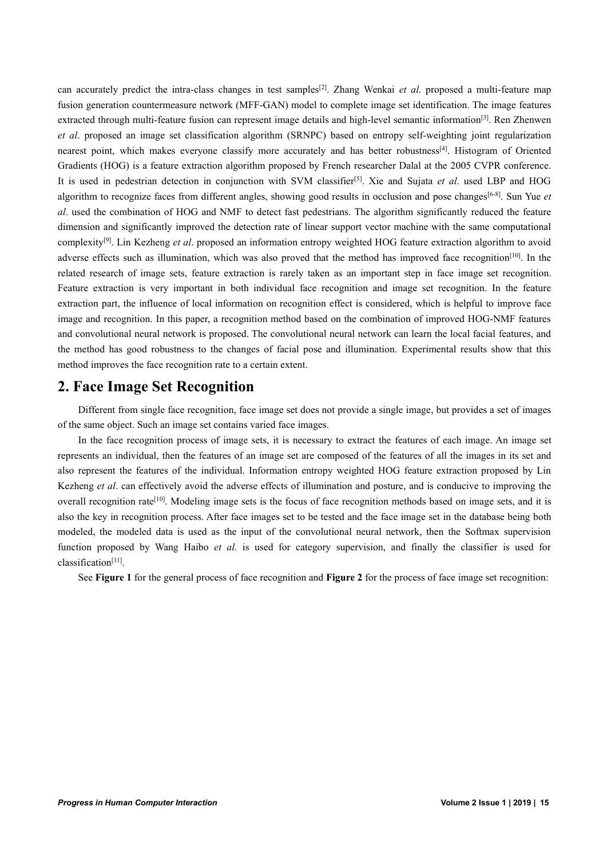can accurately predict the intra-class changes in test samples [2]. Zhang Wenkai *et al*. proposed a multi-feature map fusion generation countermeasure network (MFF-GAN) model to complete image set identification. The image features extracted through multi-feature fusion can represent image details and high-level semantic information<sup>[3]</sup>. Ren Zhenwen *et al*. proposed an image set classification algorithm (SRNPC) based on entropy self-weighting joint regularization nearest point, which makes everyone classify more accurately and has better robustness<sup>[4]</sup>. Histogram of Oriented Gradients (HOG) is a feature extraction algorithm proposed by French researcher Dalal at the 2005 CVPR conference. It is used in pedestrian detection in conjunction with SVM classifier [5]. Xie and Sujata *et al*. used LBP and HOG algorithm to recognize faces from different angles, showing good results in occlusion and pose changes [6-8]. Sun Yue *et al*. used the combination of HOG and NMF to detect fast pedestrians. The algorithm significantly reduced the feature dimension and significantly improved the detection rate of linear support vector machine with the same computational complexity [9]. Lin Kezheng *et al*. proposed an information entropy weighted HOG feature extraction algorithm to avoid adverse effects such as illumination, which was also proved that the method has improved face recognition<sup>[10]</sup>. In the related research of image sets, feature extraction is rarely taken as an important step in face image set recognition. Feature extraction is very important in both individual face recognition and image set recognition. In the feature extraction part, the influence of local information on recognition effect is considered, which is helpful to improve face image and recognition. In this paper, a recognition method based on the combination of improved HOG-NMF features and convolutional neural network is proposed. The convolutional neural network can learn the local facial features, and the method has good robustness to the changes of facial pose and illumination. Experimental results show that this method improves the face recognition rate to a certain extent.

## **2. Face Image Set Recognition**

Different from single face recognition, face image set does not provide a single image, but provides a setof images of the same object. Such an image set contains varied face images.

In the face recognition process of image sets, it is necessary to extract the features of each image. An image set represents an individual, then the features of an image setare composed of the features of all the images in its set and also represent the features of the individual. Information entropy weighted HOG feature extraction proposed by Lin Kezheng *et al*. can effectively avoid the adverse effects of illumination and posture, and is conducive to improving the overall recognition rate<sup>[10]</sup>. Modeling image sets is the focus of face recognition methods based on image sets, and it is also the key in recognition process. After face images set to be tested and the face image set in the database being both modeled, the modeled data is used as the input of the convolutional neural network, then the Softmax supervision function proposed by Wang Haibo *etal*. is used for category supervision, and finally the classifier is used for classification [11].

See **Figure** 1 for the general process of face recognition and **Figure** 2 for the process of face image set recognition: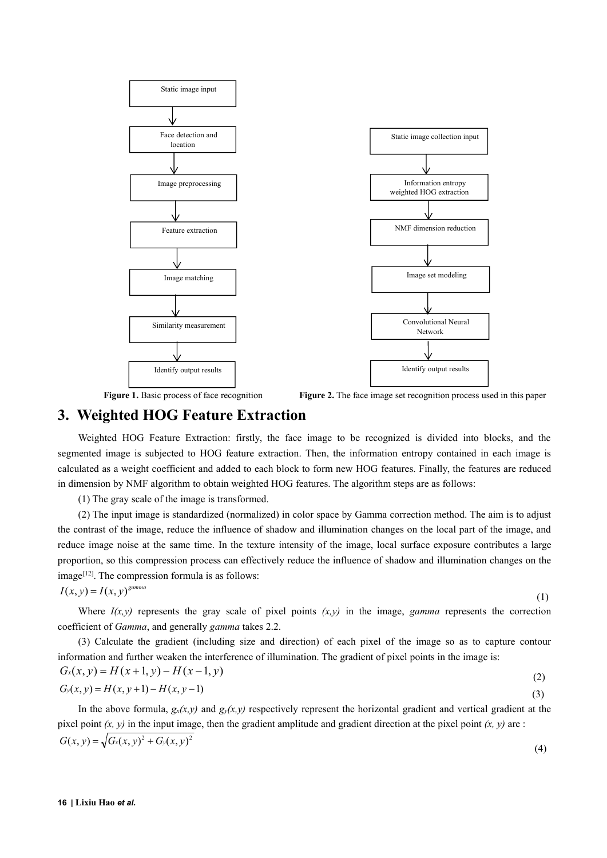

Figure 1. Basic process of face recognition **Figure 2.** The face image set recognition process used in this paper

### **3. Weighted HOG Feature Extraction**

Weighted HOG Feature Extraction: firstly, the face image to be recognized is divided into blocks, and the segmented image is subjected to HOG feature extraction. Then, the information entropy contained in each image is calculated as a weight coefficient and added to each block to form new HOG features. Finally, the features are reduced in dimension by NMF algorithm to obtain weighted HOG features. The algorithm steps are asfollows:

(1) The gray scale of the image is transformed.

(2) The input image is standardized (normalized) in color space by Gamma correction method. The aim is to adjust the contrast of the image, reduce the influence of shadow and illumination changes on the local part of the image, and reduce image noise at the same time. In the texture intensity of the image, local surface exposure contributes a large proportion, so this compression process can effectively reduce the influence of shadow and illumination changes on the image [12]. The compression formula is as follows:

$$
I(x, y) = I(x, y)^{\text{gamma}}
$$

 $G_x(x, y) = H(x+1, y) - H(x-1, y)$ 

(1)

Where  $I(x,y)$  represents the gray scale of pixel points  $(x,y)$  in the image, *gamma* represents the correction coefficient of *Gamma*, and generally *gamma* takes 2.2.

(3) Calculate the gradient (including size and direction) of each pixel of the image so as to capture contour information and further weaken the interference of illumination. The gradient of pixel points in the image is:

$$
G_x(x, y) = H(x, y+1) - H(x, y-1)
$$
\n(2)\n  
\n
$$
G_y(x, y) = H(x, y+1) - H(x, y-1)
$$
\n(3)

In the above formula,  $g_{\rm y}(x, y)$  and  $g_{\rm y}(x, y)$  respectively represent the horizontal gradient and vertical gradient at the pixel point  $(x, y)$  in the input image, then the gradient amplitude and gradient direction at the pixel point  $(x, y)$  are :  $G(x, y) = \sqrt{G_x(x, y)^2 + G_y(x, y)^2}$ (4)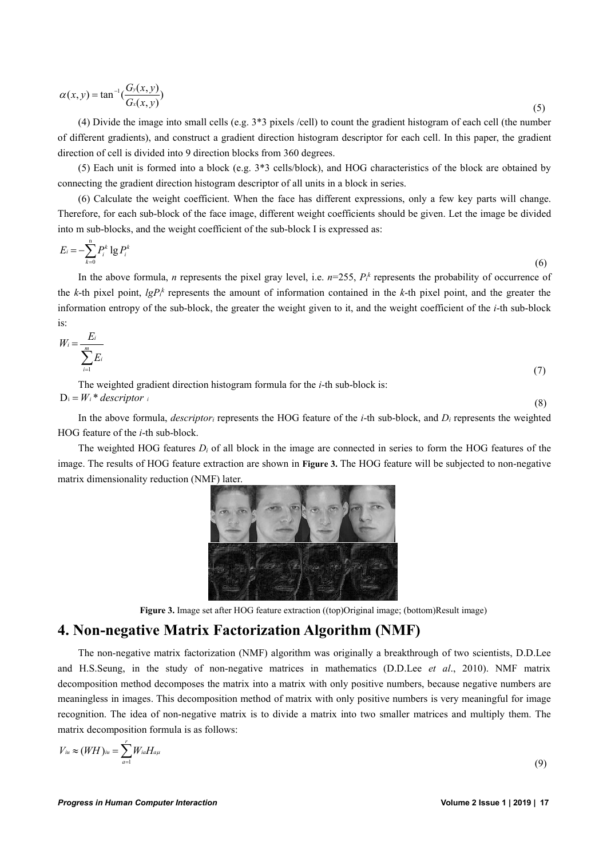$$
\alpha(x, y) = \tan^{-1}\left(\frac{G_y(x, y)}{G_x(x, y)}\right) \tag{5}
$$

(4) Divide the image into small cells (e.g. 3\*3 pixels /cell) to count the gradient histogram of each cell (the number of different gradients), and construct a gradient direction histogram descriptor for each cell.In this paper, the gradient direction of cell is divided into 9 direction blocks from 360 degrees.

(5) Each unit is formed into a block (e.g. 3\*3 cells/block), and HOG characteristics of the block are obtained by connecting the gradient direction histogram descriptor of all units in a block in series.

 $(6)$  Calculate the weight coefficient. When the face has different expressions, only a few key parts will change. Therefore, for each sub-block of the face image, different weight coefficients should be given. Let the image be divided into m sub-blocks, and the weight coefficient of the sub-block I is expressed as:

$$
E_i = -\sum_{k=0}^{n} P_i^k \lg P_i^k \tag{6}
$$

In the above formula, *n* represents the pixel gray level, i.e.  $n=255$ ,  $P_f^k$  represents the probability of occurrence of the *k*-th pixel point,  $lgP_f^k$  represents the amount of information contained in the *k*-th pixel point, and the greater the information entropy of the sub-block, the greater the weight given to it, and the weight coefficient of the *i*-th sub-block is:

$$
W_i = \frac{E_i}{\sum_{i=1}^m E_i} \tag{7}
$$

The weighted gradient direction histogram formula for the*i*-th sub-block is:  $D_i = W_i^*$  *descriptor i* (8)

In the above formula, *descriptor<sup>i</sup>* represents the HOG feature of the *i*-th sub-block, and *D<sup>i</sup>* represents the weighted HOG feature of the *i*-th sub-block.

The weighted HOG features *D<sup>i</sup>* of all block in the image are connected in series to form the HOG features of the image. The results of HOG feature extraction are shown in **Figure 3.** The HOG feature will be subjected to non-negative matrix dimensionality reduction (NMF) later.



**Figure 3.** Image set after HOG feature extraction ((top)Original image; (bottom)Result image)

## **4. Non-negative Matrix Factorization Algorithm (NMF)**

The non-negative matrix factorization (NMF) algorithm was originally a breakthrough of two scientists, D.D.Lee and H.S.Seung, in the study of non-negative matrices in mathematics (D.D.Lee *et al*., 2010). NMF matrix decomposition method decomposes the matrix into a matrix with only positive numbers, because negative numbers are meaningless in images. This decomposition method of matrix with only positive numbers is very meaningful for image recognition. The idea of non-negative matrix is to divide a matrix into two smaller matrices and multiply them. The matrix decomposition formula is as follows:

$$
V_{iu} \approx (WH)_{iu} = \sum_{a=1}^r W_{ia} H_{a\mu}
$$

(9)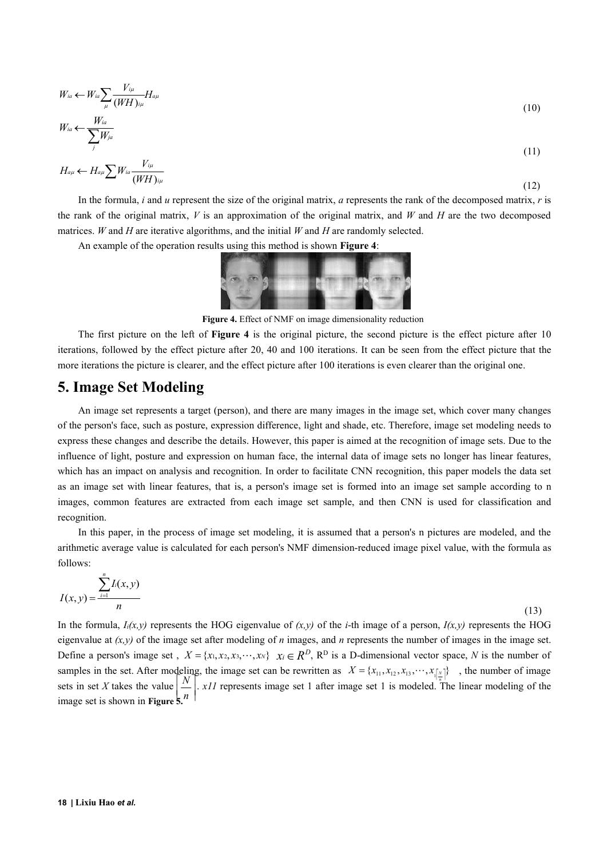$$
W_{ia} \leftarrow W_{ia} \sum_{\mu} \frac{V_{i\mu}}{(WH)_{i\mu}} H_{a\mu}
$$
  
\n
$$
W_{ia} \leftarrow \frac{W_{ia}}{W^{4}} \tag{10}
$$

$$
W_{ia} \leftarrow \frac{1}{\sum_{j} W_{ja}} \tag{11}
$$

$$
H_{a\mu} \leftarrow H_{a\mu} \sum W_{ia} \frac{V_{i\mu}}{(WH)_{i\mu}} \tag{12}
$$

In the formula, *i* and *u* represent the size of the original matrix, *a* represents the rank of the decomposed matrix, *r* is the rank of the original matrix, *V* is an approximation of the original matrix, and *W* and *H* are the two decomposed matrices. *W* and *H* are iterative algorithms, and the initial *W* and *H* are randomly selected.

An example of the operation results using this method is shown **Figure 4**:



**Figure 4.** Effect of NMF on image dimensionality reduction

The first picture on the left of **Figure 4** is the original picture, the second picture is the effect picture after 10 iterations, followed by the effect picture after 20,40 and 100 iterations. It can be seen from the effect picture that the more iterations the picture is clearer, and the effect picture after 100 iterations is even clearer than the original one.

### **5. Image Set Modeling**

An image setrepresents a target (person), and there are many images in the image set, which cover many changes of the person's face, such as posture, expression difference, light and shade, etc. Therefore, image set modeling needs to express these changes and describe the details. However, this paper is aimed at the recognition of image sets. Due to the influence of light, posture and expression on human face, the internal data of image sets no longer has linear features, which has an impact on analysis and recognition. In order to facilitate CNN recognition, this paper models the data set as an image set with linear features, that is, a person's image set is formed into an image set sample according to n images, common features are extracted from each image set sample, and then CNN is used for classification and recognition.

In this paper, in the process of image set modeling, it is assumed that a person's n pictures are modeled, and the arithmetic average value is calculated for each person's NMF dimension-reduced image pixel value, with the formula as follows:

$$
I(x, y) = \frac{\sum_{i=1}^{n} I_i(x, y)}{n}
$$
\n(13)

In the formula,  $I_i(x, y)$  represents the HOG eigenvalue of  $(x, y)$  of the *i*-th image of a person,  $I(x, y)$  represents the HOG eigenvalue at  $(x, y)$  of the image set after modeling of *n* images, and *n* represents the number of images in the image set. Define a person's image set,  $X = \{x_1, x_2, x_3, \dots, x_N\}$   $x_i \in \mathbb{R}^D$ ,  $\mathbb{R}^D$  is a D-dimensional vector space, N is the number of samples in the set. After modeling, the image set can be rewritten as  $X = \{x_{11}, x_{12}, x_{13}, \dots, x_{\lfloor N \rfloor}\}\;$ , the number of image sets in set *X* takes the value  $\left|\frac{N}{n}\right|$ . *x11* represents image set 1 after image set 1 is modeled. The linear modeling of the Define a person's image set,  $X = \{x_1, x_2, x_3, \dots, x_N\}$   $x_i \in R^D$ ,  $R^D$  is a D-dimensional vector space,  $N$  is the number of samples in the set. After modeling, the image set can be rewritten as  $X = \{x_{11}, x_{12}, x_{13}, \dots, x_{$  $X = \{x_{11}, x_{12}, x_{13}, \dots, x_{\left[\frac{N}{n}\right]} \}$ , the number of image  $\begin{bmatrix} 1 & 1 & 1 \\ 1 & 1 & 1 \end{bmatrix}$  represents impge set 1 at  $\left\lceil \frac{m}{n} \right\rceil$ . XII represents image set  $\lfloor N \rfloor$  x<sub>11</sub> represents image set *n* |  $\overline{\phantom{a}}$ *N*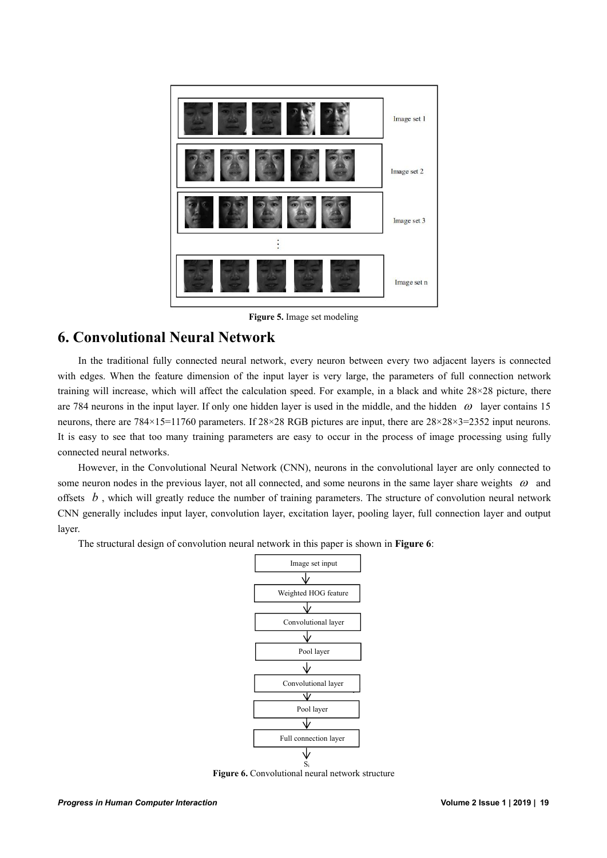

**Figure 5.** Image set modeling

## **6. Convolutional Neural Network**

In the traditional fully connected neural network, every neuron between every two adjacent layers is connected with edges. When the feature dimension of the input layer is very large, the parameters of full connection network training will increase, which will affect the calculation speed. For example, in a black and white 28×28 picture, there are 784 neurons in the input layer. If only one hidden layer is used in the middle, and the hidden  $\omega$  layer contains 15 neurons, there are  $784\times15=11760$  parameters. If  $28\times28$  RGB pictures are input, there are  $28\times28\times3=2352$  input neurons. It is easy to see that too many training parameters are easy to occur in the process of image processing using fully connected neural networks.

However, in the Convolutional Neural Network (CNN), neurons in the convolutional layer are only connected to some neuron nodes in the previous layer, not all connected, and some neurons in the same layer share weights  $\omega$  and offsets  $b$ , which will greatly reduce the number of training parameters. The structure of convolution neural network CNN generally includes input layer, convolution layer, excitation layer, pooling layer, fullconnection layer and output layer.<br>The structural design of convolution neural network in this paper is shown in **Figure 6**:



**Figure 6.** Convolutional neural network structure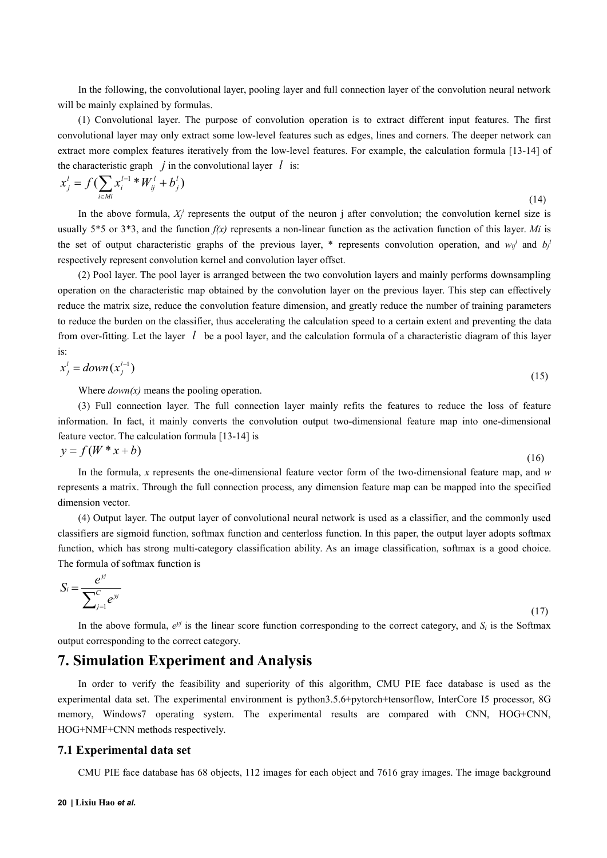In the following, the convolutional layer, pooling layer and full connection layer of the convolution neural network will be mainly explained by formulas.

(1) Convolutional layer. The purpose of convolution operation is to extract different input features. The first convolutional layer may only extract some low-level features such as edges, lines and corners. The deeper network can extract more complex features iteratively from the low-level features. For example, the calculation formula [13-14] of the characteristic graph  $\dot{j}$  in the convolutional layer  $\dot{l}$  is:

$$
x_j^l = f\left(\sum_{i \in M_l} x_i^{l-1} * W_{ij}^l + b_j^l\right) \tag{14}
$$

In the above formula,  $X_j^i$  represents the output of the neuron j after convolution; the convolution kernel size is usually  $5*5$  or  $3*3$ , and the function  $f(x)$  represents a non-linear function as the activation function of this layer. *Mi* is the set of output characteristic graphs of the previous layer, \* represents convolution operation, and  $w_{ij}$  and  $b_j$ respectively represent convolution kernel and convolution layer offset.

(2) Pool layer. The pool layer is arranged between the two convolution layers and mainly performs downsampling operation on the characteristic map obtained by the convolution layer on the previous layer.This step can effectively reduce the matrix size, reduce the convolution feature dimension, and greatly reduce the number of training parameters to reduce the burden on the classifier, thus accelerating the calculation speed to a certain extent and preventing the data from over-fitting. Let the layer *l* be a pool layer, and the calculation formula of a characteristic diagram of this layer is:

$$
x_j' = down(x_j^{l-1})\tag{15}
$$

Where *down(x)* means the pooling operation.

(3) Full connection layer. The full connection layer mainly refits the features to reduce the loss of feature information. In fact, it mainly converts the convolution output two-dimensional feature map into one-dimensional feature vector. The calculation formula [13-14] is  $y = f(W^*x + b)$ 

$$
y - f(r - x + b) \tag{16}
$$

In the formula, *x* represents the one-dimensional feature vector form of the two-dimensional feature map, and *w* represents a matrix. Through the full connection process, any dimension feature map can be mapped into the specified dimension vector.

(4) Output layer. The output layer of convolutional neural network is used as a classifier, and the commonly used classifiers are sigmoid function, softmax function and centerloss function. In this paper, the output layer adopts softmax function, which has strong multi-category classification ability. As an image classification, softmax is a good choice. The formula of softmax function is

$$
S_i = \frac{e^{y_j}}{\sum_{j=1}^{C} e^{y_j}}
$$
\n(17)

In the above formula,  $e^{yj}$  is the linear score function corresponding to the correct category, and  $S_i$  is the Softmax output corresponding to the correct category.

## **7. Simulation Experiment and Analysis**

In order to verify the feasibility and superiority of this algorithm, CMU PIE face database is used as the experimental data set. The experimental environment is python3.5.6+pytorch+tensorflow, InterCore I5 processor, 8G memory, Windows7 operating system. The experimental results are compared with CNN, HOG+CNN, HOG+NMF+CNN methods respectively.

#### **7.1 Experimental data set**

CMU PIE face database has 68 objects, 112 images for each object and 7616 gray images. The image background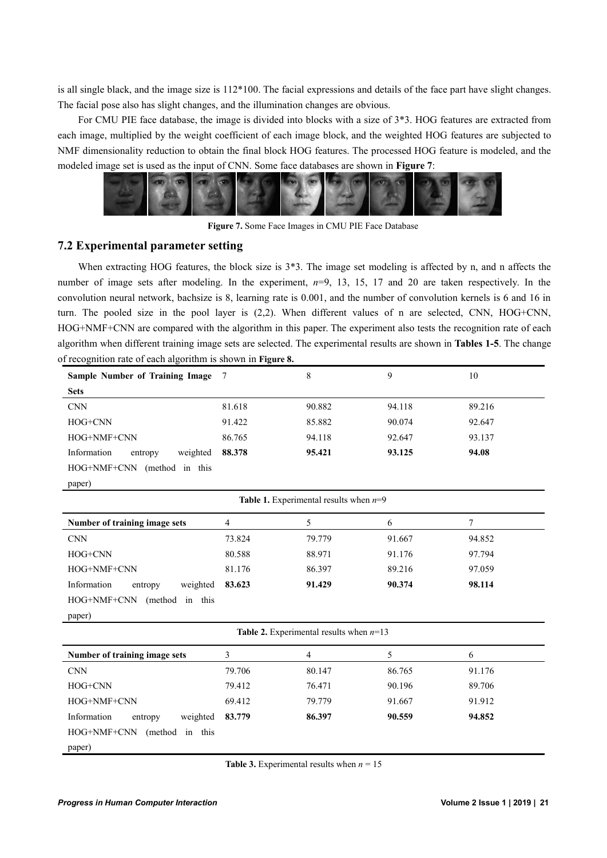is all single black, and the image size is 112\*100. The facial expressions and details of the face part have slight changes. The facial pose also has slight changes, and the illumination changes are obvious.<br>For CMU PIE face database, the image is divided into blocks with a size of 3\*3. HOG features are extracted from

each image, multiplied by the weight coefficient of each image block, and the weighted HOG features are subjected to NMF dimensionality reduction to obtain the final block HOG features. The processed HOG feature is modeled, and the modeled image set is used as the input of CNN. Some face databases are shown in **Figure 7**:



**Figure 7.** Some Face Images in CMU PIE Face Database

#### **7.2 Experimental parameter setting**

When extracting HOG features, the block size is  $3*3$ . The image set modeling is affected by n, and n affects the number of image sets after modeling. In the experiment, *n*=9, 13, 15, 17 and 20 are taken respectively. In the convolution neural network, bachsize is 8, learning rate is 0.001, and the number of convolution kernels is 6 and 16 in turn. The pooled size in the pool layer is  $(2,2)$ . When different values of n are selected, CNN, HOG+CNN, HOG+NMF+CNN are compared with the algorithm in this paper. The experiment also tests the recognition rate of each algorithm when different training image sets are selected. The experimental results are shown in **Tables 1-5**. The change of recognition rate of each algorithm is shown in **Figure 8.**

| Sample Number of Training Image           | 7      | 8                                        | 9      | 10     |  |  |  |
|-------------------------------------------|--------|------------------------------------------|--------|--------|--|--|--|
| <b>Sets</b>                               |        |                                          |        |        |  |  |  |
| <b>CNN</b>                                | 81.618 | 90.882                                   | 94.118 | 89.216 |  |  |  |
| HOG+CNN                                   | 91.422 | 85.882                                   | 90.074 | 92.647 |  |  |  |
| HOG+NMF+CNN                               | 86.765 | 94.118                                   | 92.647 | 93.137 |  |  |  |
| Information<br>weighted<br>entropy        | 88.378 | 95.421                                   | 93.125 | 94.08  |  |  |  |
| HOG+NMF+CNN (method in this               |        |                                          |        |        |  |  |  |
| paper)                                    |        |                                          |        |        |  |  |  |
|                                           |        | Table 1. Experimental results when $n=9$ |        |        |  |  |  |
| Number of training image sets             | 4      | 5                                        | 6      | 7      |  |  |  |
| <b>CNN</b>                                | 73.824 | 79.779                                   | 91.667 | 94.852 |  |  |  |
| HOG+CNN                                   | 80.588 | 88.971                                   | 91.176 | 97.794 |  |  |  |
| HOG+NMF+CNN                               | 81.176 | 86.397                                   | 89.216 | 97.059 |  |  |  |
| Information<br>weighted<br>entropy        | 83.623 | 91.429                                   | 90.374 | 98.114 |  |  |  |
| HOG+NMF+CNN (method in this               |        |                                          |        |        |  |  |  |
| paper)                                    |        |                                          |        |        |  |  |  |
| Table 2. Experimental results when $n=13$ |        |                                          |        |        |  |  |  |
| Number of training image sets             | 3      | 4                                        | 5      | 6      |  |  |  |
| <b>CNN</b>                                | 79.706 | 80.147                                   | 86.765 | 91.176 |  |  |  |
| HOG+CNN                                   | 79.412 | 76.471                                   | 90.196 | 89.706 |  |  |  |
| HOG+NMF+CNN                               | 69.412 | 79.779                                   | 91.667 | 91.912 |  |  |  |
| Information<br>weighted<br>entropy        | 83.779 | 86.397                                   | 90.559 | 94.852 |  |  |  |
| HOG+NMF+CNN<br>(method in this            |        |                                          |        |        |  |  |  |
| paper)                                    |        |                                          |        |        |  |  |  |

**Table 3.** Experimental results when  $n = 15$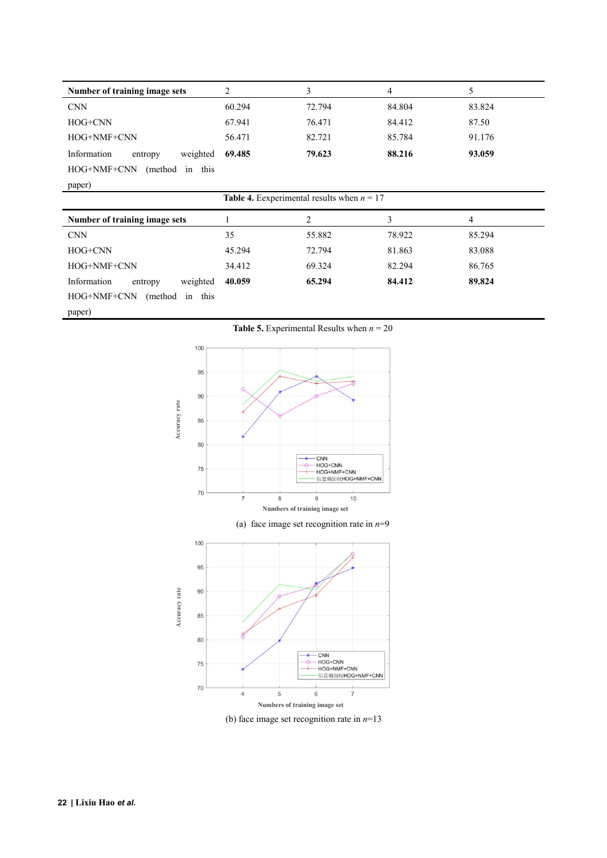| Number of training image sets      | 2                                                   | 3              | 4      | 5      |  |
|------------------------------------|-----------------------------------------------------|----------------|--------|--------|--|
| <b>CNN</b>                         | 60.294                                              | 72.794         | 84.804 | 83.824 |  |
| HOG+CNN                            | 67.941                                              | 76.471         | 84.412 | 87.50  |  |
| HOG+NMF+CNN                        | 56.471                                              | 82.721         | 85.784 | 91.176 |  |
| Information<br>weighted<br>entropy | 69.485                                              | 79.623         | 88.216 | 93.059 |  |
| HOG+NMF+CNN<br>(method)<br>in this |                                                     |                |        |        |  |
| paper)                             |                                                     |                |        |        |  |
|                                    | <b>Table 4.</b> Eexperimental results when $n = 17$ |                |        |        |  |
|                                    |                                                     |                |        |        |  |
| Number of training image sets      |                                                     | $\overline{2}$ | 3      | 4      |  |
| <b>CNN</b>                         | 35                                                  | 55.882         | 78.922 | 85.294 |  |
| HOG+CNN                            | 45.294                                              | 72.794         | 81.863 | 83.088 |  |
| HOG+NMF+CNN                        | 34.412                                              | 69.324         | 82.294 | 86.765 |  |

HOG+NMF+CNN (method in this

paper)

**Table 5.** Experimental Results when  $n = 20$ 



(b) face image set recognition rate in *n*=13  $Numbers$  of training image set

 $\,$  6  $\,$ 

 $\overline{7}$ 

 $\sqrt{5}$ 

 $\overline{4}$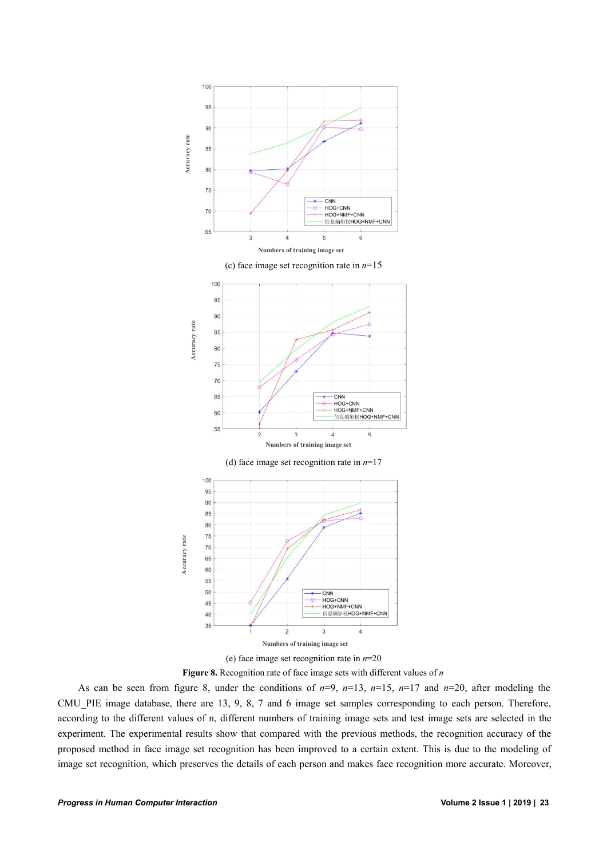



As can be seen from figure 8, under the conditions of  $n=9$ ,  $n=13$ ,  $n=15$ ,  $n=17$  and  $n=20$ , after modeling the CMU\_PIE image database, there are 13, 9, 8, 7 and 6 image set samples corresponding to each person. Therefore, according to the different values of n, different numbers of training image sets and test image sets are selected in the experiment. The experimental results show that compared with the previous methods, the recognition accuracy of the proposed method in face image set recognition has been improved to a certain extent. This is due to the modeling of image set recognition, which preserves the details of each person and makes face recognition more accurate. Moreover,